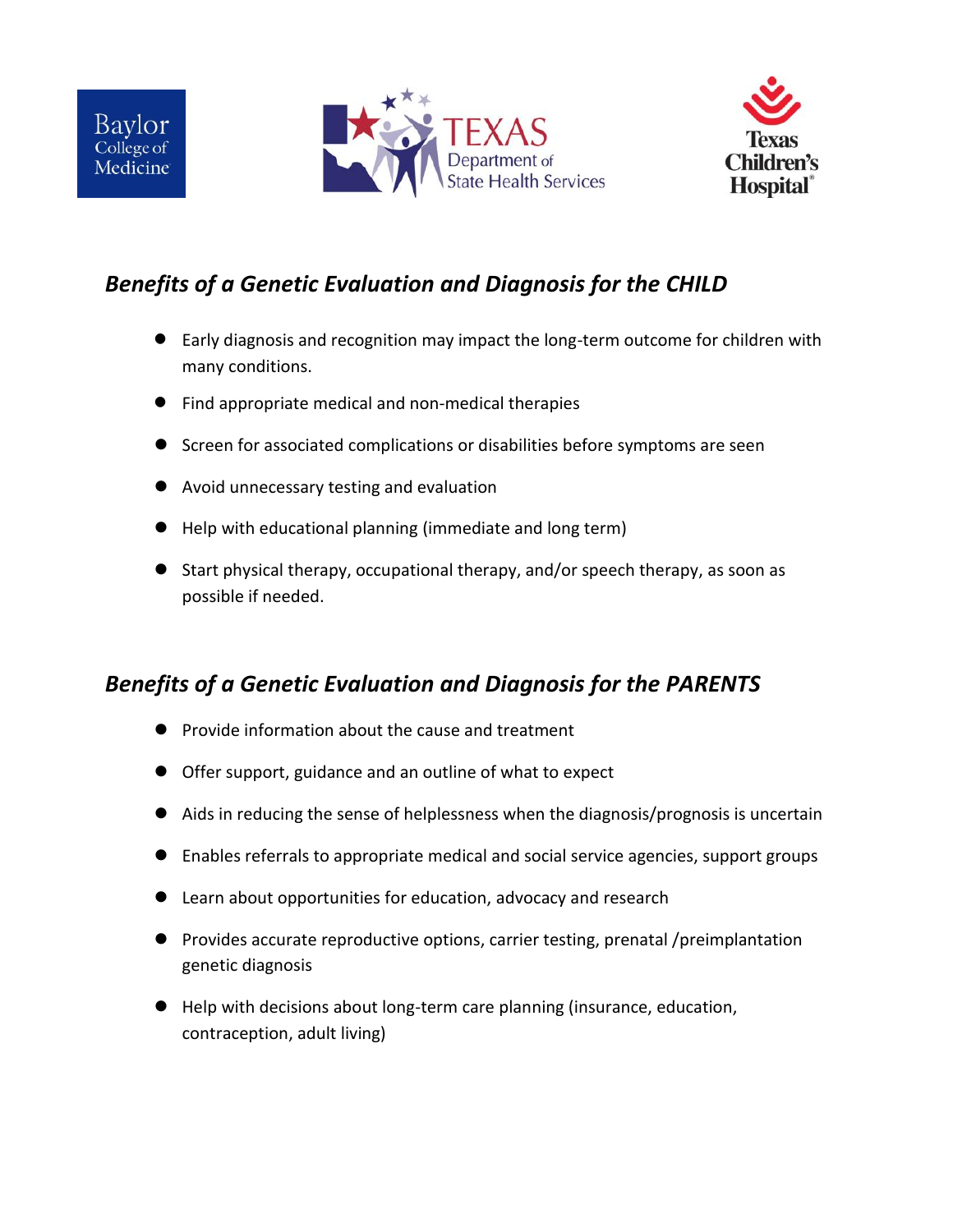



## *Benefits of a Genetic Evaluation and Diagnosis for the CHILD*

- Early diagnosis and recognition may impact the long-term outcome for children with many conditions.
- Find appropriate medical and non-medical therapies
- **•** Screen for associated complications or disabilities before symptoms are seen
- Avoid unnecessary testing and evaluation
- Help with educational planning (immediate and long term)
- Start physical therapy, occupational therapy, and/or speech therapy, as soon as possible if needed.

## *Benefits of a Genetic Evaluation and Diagnosis for the PARENTS*

- Provide information about the cause and treatment
- Offer support, guidance and an outline of what to expect
- Aids in reducing the sense of helplessness when the diagnosis/prognosis is uncertain
- Enables referrals to appropriate medical and social service agencies, support groups
- Learn about opportunities for education, advocacy and research
- Provides accurate reproductive options, carrier testing, prenatal /preimplantation genetic diagnosis
- Help with decisions about long-term care planning (insurance, education, contraception, adult living)